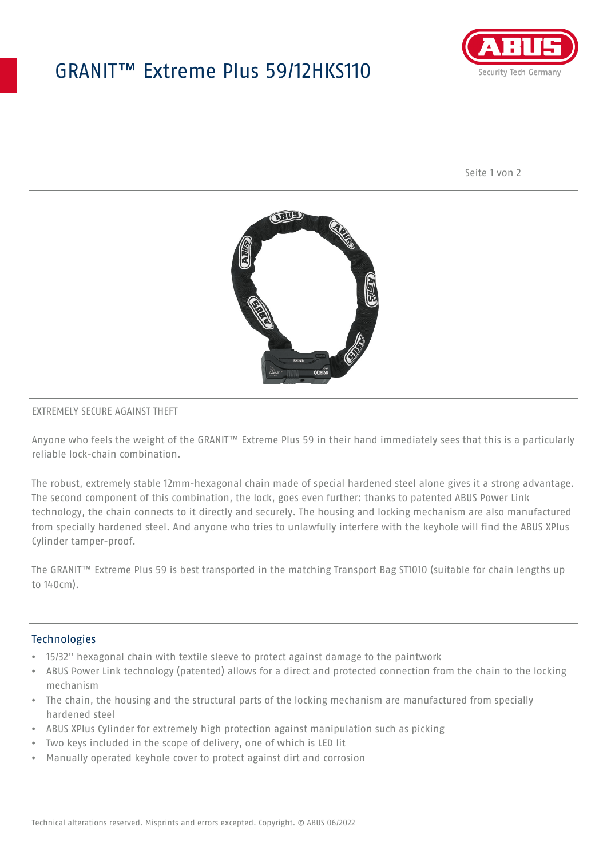## GRANIT™ Extreme Plus 59/12HKS110



Seite 1 von 2



#### EXTREMELY SECURE AGAINST THEFT

Anyone who feels the weight of the GRANIT™ Extreme Plus 59 in their hand immediately sees that this is a particularly reliable lock-chain combination.

The robust, extremely stable 12mm-hexagonal chain made of special hardened steel alone gives it a strong advantage. The second component of this combination, the lock, goes even further: thanks to patented ABUS Power Link technology, the chain connects to it directly and securely. The housing and locking mechanism are also manufactured from specially hardened steel. And anyone who tries to unlawfully interfere with the keyhole will find the ABUS XPlus Cylinder tamper-proof.

The GRANIT™ Extreme Plus 59 is best transported in the matching Transport Bag ST1010 (suitable for chain lengths up to 140cm).

#### **Technologies**

- 15/32" hexagonal chain with textile sleeve to protect against damage to the paintwork
- ABUS Power Link technology (patented) allows for a direct and protected connection from the chain to the locking mechanism
- The chain, the housing and the structural parts of the locking mechanism are manufactured from specially hardened steel
- ABUS XPlus Cylinder for extremely high protection against manipulation such as picking
- Two keys included in the scope of delivery, one of which is LED lit
- Manually operated keyhole cover to protect against dirt and corrosion